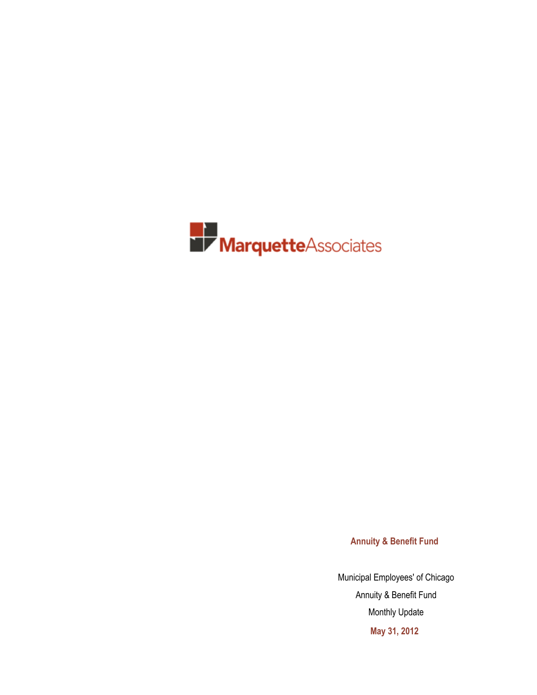

**Annuity & Benefit Fund**

Municipal Employees' of Chicago Annuity & Benefit Fund Monthly Update **May 31, 2012**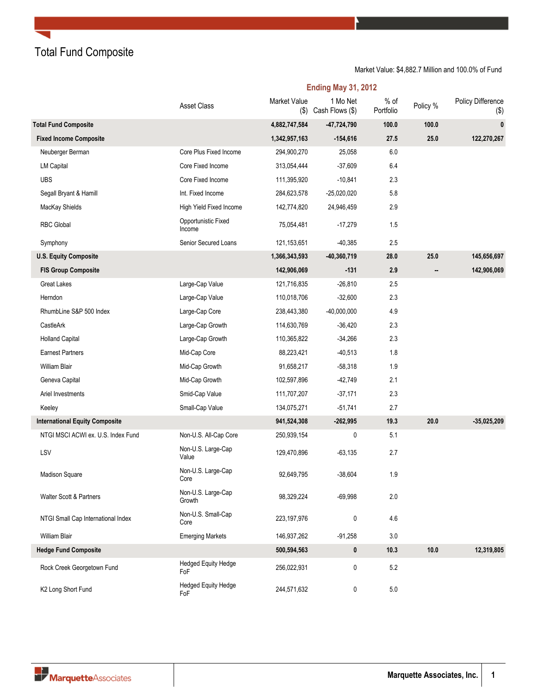Total Fund Composite

|                                       | <b>Ending May 31, 2012</b>        |                            |                             |                     |          |                             |  |  |  |  |
|---------------------------------------|-----------------------------------|----------------------------|-----------------------------|---------------------|----------|-----------------------------|--|--|--|--|
|                                       | Asset Class                       | <b>Market Value</b><br>(3) | 1 Mo Net<br>Cash Flows (\$) | $%$ of<br>Portfolio | Policy % | Policy Difference<br>$(\$)$ |  |  |  |  |
| <b>Total Fund Composite</b>           |                                   | 4,882,747,584              | $-47,724,790$               | 100.0               | 100.0    | $\mathbf{0}$                |  |  |  |  |
| <b>Fixed Income Composite</b>         |                                   | 1,342,957,163              | $-154,616$                  | 27.5                | 25.0     | 122,270,267                 |  |  |  |  |
| Neuberger Berman                      | Core Plus Fixed Income            | 294,900,270                | 25,058                      | 6.0                 |          |                             |  |  |  |  |
| <b>LM Capital</b>                     | Core Fixed Income                 | 313,054,444                | $-37,609$                   | 6.4                 |          |                             |  |  |  |  |
| <b>UBS</b>                            | Core Fixed Income                 | 111,395,920                | $-10,841$                   | 2.3                 |          |                             |  |  |  |  |
| Segall Bryant & Hamill                | Int. Fixed Income                 | 284,623,578                | $-25,020,020$               | 5.8                 |          |                             |  |  |  |  |
| MacKay Shields                        | High Yield Fixed Income           | 142,774,820                | 24,946,459                  | 2.9                 |          |                             |  |  |  |  |
| <b>RBC Global</b>                     | Opportunistic Fixed<br>Income     | 75,054,481                 | $-17,279$                   | 1.5                 |          |                             |  |  |  |  |
| Symphony                              | Senior Secured Loans              | 121, 153, 651              | $-40,385$                   | 2.5                 |          |                             |  |  |  |  |
| <b>U.S. Equity Composite</b>          |                                   | 1,366,343,593              | $-40,360,719$               | 28.0                | 25.0     | 145,656,697                 |  |  |  |  |
| <b>FIS Group Composite</b>            |                                   | 142,906,069                | $-131$                      | 2.9                 | .,       | 142,906,069                 |  |  |  |  |
| <b>Great Lakes</b>                    | Large-Cap Value                   | 121,716,835                | $-26,810$                   | 2.5                 |          |                             |  |  |  |  |
| Herndon                               | Large-Cap Value                   | 110,018,706                | $-32,600$                   | 2.3                 |          |                             |  |  |  |  |
| RhumbLine S&P 500 Index               | Large-Cap Core                    | 238,443,380                | $-40,000,000$               | 4.9                 |          |                             |  |  |  |  |
| CastleArk                             | Large-Cap Growth                  | 114,630,769                | $-36,420$                   | 2.3                 |          |                             |  |  |  |  |
| <b>Holland Capital</b>                | Large-Cap Growth                  | 110,365,822                | $-34,266$                   | 2.3                 |          |                             |  |  |  |  |
| <b>Earnest Partners</b>               | Mid-Cap Core                      | 88,223,421                 | $-40,513$                   | 1.8                 |          |                             |  |  |  |  |
| William Blair                         | Mid-Cap Growth                    | 91,658,217                 | $-58,318$                   | 1.9                 |          |                             |  |  |  |  |
| Geneva Capital                        | Mid-Cap Growth                    | 102,597,896                | $-42,749$                   | 2.1                 |          |                             |  |  |  |  |
| Ariel Investments                     | Smid-Cap Value                    | 111,707,207                | $-37,171$                   | 2.3                 |          |                             |  |  |  |  |
| Keeley                                | Small-Cap Value                   | 134,075,271                | $-51,741$                   | 2.7                 |          |                             |  |  |  |  |
| <b>International Equity Composite</b> |                                   | 941,524,308                | $-262,995$                  | 19.3                | 20.0     | $-35,025,209$               |  |  |  |  |
| NTGI MSCI ACWI ex. U.S. Index Fund    | Non-U.S. All-Cap Core             | 250,939,154                | 0                           | 5.1                 |          |                             |  |  |  |  |
| LSV                                   | Non-U.S. Large-Cap<br>Value       | 129,470,896                | $-63,135$                   | 2.7                 |          |                             |  |  |  |  |
| Madison Square                        | Non-U.S. Large-Cap<br>Core        | 92,649,795                 | $-38,604$                   | 1.9                 |          |                             |  |  |  |  |
| Walter Scott & Partners               | Non-U.S. Large-Cap<br>Growth      | 98,329,224                 | $-69,998$                   | $2.0\,$             |          |                             |  |  |  |  |
| NTGI Small Cap International Index    | Non-U.S. Small-Cap<br>Core        | 223, 197, 976              | 0                           | 4.6                 |          |                             |  |  |  |  |
| William Blair                         | <b>Emerging Markets</b>           | 146,937,262                | $-91,258$                   | 3.0                 |          |                             |  |  |  |  |
| <b>Hedge Fund Composite</b>           |                                   | 500,594,563                | 0                           | 10.3                | 10.0     | 12,319,805                  |  |  |  |  |
| Rock Creek Georgetown Fund            | <b>Hedged Equity Hedge</b><br>FoF | 256,022,931                | 0                           | 5.2                 |          |                             |  |  |  |  |
| K2 Long Short Fund                    | <b>Hedged Equity Hedge</b><br>FoF | 244,571,632                | 0                           | $5.0\,$             |          |                             |  |  |  |  |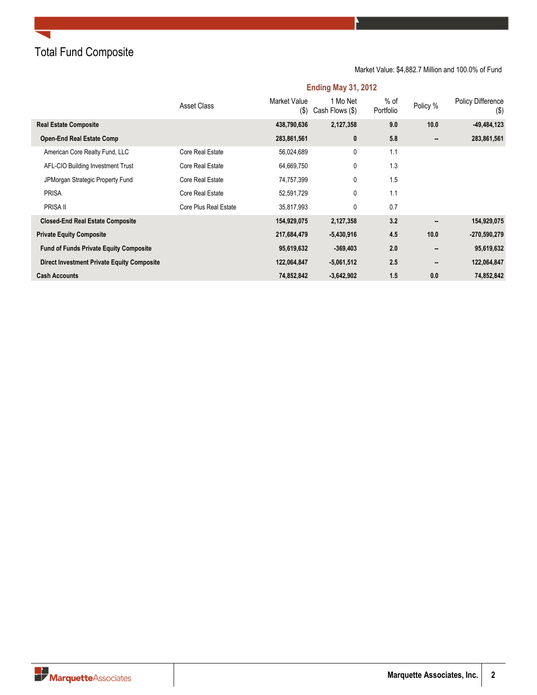Total Fund Composite

Market Value: \$4,882.7 Million and 100.0% of Fund

|                                                   | Asset Class           | Market Value<br>$($ \$) | 1 Mo Net<br>Cash Flows (\$) | % of<br>Portfolio | Policy % | <b>Policy Difference</b><br>$($ \$) |
|---------------------------------------------------|-----------------------|-------------------------|-----------------------------|-------------------|----------|-------------------------------------|
| <b>Real Estate Composite</b>                      |                       | 438,790,636             | 2,127,358                   | 9.0               | 10.0     | $-49,484,123$                       |
| <b>Open-End Real Estate Comp</b>                  |                       | 283,861,561             | 0                           | 5.8               |          | 283,861,561                         |
| American Core Realty Fund, LLC                    | Core Real Estate      | 56,024,689              | 0                           | 1.1               |          |                                     |
| AFL-CIO Building Investment Trust                 | Core Real Estate      | 64,669,750              | 0                           | 1.3               |          |                                     |
| JPMorgan Strategic Property Fund                  | Core Real Estate      | 74,757,399              | 0                           | 1.5               |          |                                     |
| <b>PRISA</b>                                      | Core Real Estate      | 52,591,729              | 0                           | 1.1               |          |                                     |
| PRISA II                                          | Core Plus Real Estate | 35,817,993              | 0                           | 0.7               |          |                                     |
| <b>Closed-End Real Estate Composite</b>           |                       | 154,929,075             | 2,127,358                   | 3.2               |          | 154,929,075                         |
| <b>Private Equity Composite</b>                   |                       | 217,684,479             | $-5,430,916$                | 4.5               | 10.0     | $-270,590,279$                      |
| <b>Fund of Funds Private Equity Composite</b>     |                       | 95,619,632              | $-369,403$                  | 2.0               |          | 95,619,632                          |
| <b>Direct Investment Private Equity Composite</b> |                       | 122,064,847             | $-5,061,512$                | 2.5               |          | 122,064,847                         |
| <b>Cash Accounts</b>                              |                       | 74,852,842              | $-3,642,902$                | 1.5               | 0.0      | 74,852,842                          |

### **Ending May 31, 2012**

**Narquette**Associates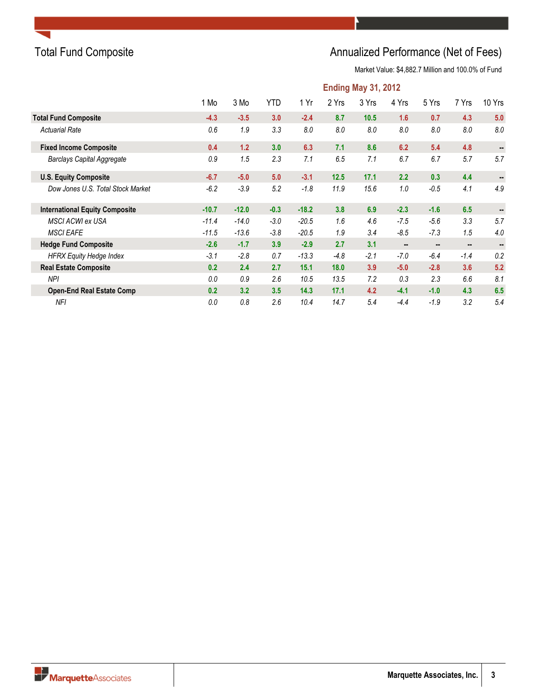

# Total Fund Composite **Annualized Performance (Net of Fees)** Annualized Performance (Net of Fees)

|                                       | <b>Ending May 31, 2012</b> |         |            |         |        |        |        |        |        |        |  |
|---------------------------------------|----------------------------|---------|------------|---------|--------|--------|--------|--------|--------|--------|--|
|                                       | 1 Mo                       | 3 Mo    | <b>YTD</b> | 1 Yr    | 2 Yrs  | 3 Yrs  | 4 Yrs  | 5 Yrs  | 7 Yrs  | 10 Yrs |  |
| <b>Total Fund Composite</b>           | $-4.3$                     | $-3.5$  | 3.0        | $-2.4$  | 8.7    | 10.5   | 1.6    | 0.7    | 4.3    | 5.0    |  |
| <b>Actuarial Rate</b>                 | 0.6                        | 1.9     | 3.3        | 8.0     | 8.0    | 8.0    | 8.0    | 8.0    | 8.0    | 8.0    |  |
| <b>Fixed Income Composite</b>         | 0.4                        | 1.2     | 3.0        | 6.3     | 7.1    | 8.6    | 6.2    | 5.4    | 4.8    |        |  |
| <b>Barclays Capital Aggregate</b>     | 0.9                        | 1.5     | 2.3        | 7.1     | 6.5    | 7.1    | 6.7    | 6.7    | 5.7    | 5.7    |  |
| <b>U.S. Equity Composite</b>          | $-6.7$                     | $-5.0$  | 5.0        | $-3.1$  | 12.5   | 17.1   | 2.2    | 0.3    | 4.4    | ۰.     |  |
| Dow Jones U.S. Total Stock Market     | $-6.2$                     | $-3.9$  | 5.2        | $-1.8$  | 11.9   | 15.6   | 1.0    | $-0.5$ | 4.1    | 4.9    |  |
| <b>International Equity Composite</b> | $-10.7$                    | $-12.0$ | $-0.3$     | $-18.2$ | 3.8    | 6.9    | $-2.3$ | $-1.6$ | 6.5    |        |  |
| <b>MSCI ACWI ex USA</b>               | $-11.4$                    | $-14.0$ | $-3.0$     | $-20.5$ | 1.6    | 4.6    | $-7.5$ | $-5.6$ | 3.3    | 5.7    |  |
| <b>MSCI EAFE</b>                      | $-11.5$                    | $-13.6$ | $-3.8$     | $-20.5$ | 1.9    | 3.4    | $-8.5$ | $-7.3$ | 1.5    | 4.0    |  |
| <b>Hedge Fund Composite</b>           | $-2.6$                     | $-1.7$  | 3.9        | $-2.9$  | 2.7    | 3.1    |        | $\sim$ |        |        |  |
| <b>HFRX Equity Hedge Index</b>        | $-3.1$                     | $-2.8$  | 0.7        | $-13.3$ | $-4.8$ | $-2.1$ | $-7.0$ | $-6.4$ | $-1.4$ | 0.2    |  |
| <b>Real Estate Composite</b>          | 0.2                        | 2.4     | 2.7        | 15.1    | 18.0   | 3.9    | $-5.0$ | $-2.8$ | 3.6    | 5.2    |  |
| <b>NPI</b>                            | 0.0                        | 0.9     | 2.6        | 10.5    | 13.5   | 7.2    | 0.3    | 2.3    | 6.6    | 8.1    |  |
| <b>Open-End Real Estate Comp</b>      | 0.2                        | 3.2     | 3.5        | 14.3    | 17.1   | 4.2    | $-4.1$ | $-1.0$ | 4.3    | 6.5    |  |
| <b>NFI</b>                            | 0.0                        | 0.8     | 2.6        | 10.4    | 14.7   | 5.4    | $-4.4$ | $-1.9$ | 3.2    | 5.4    |  |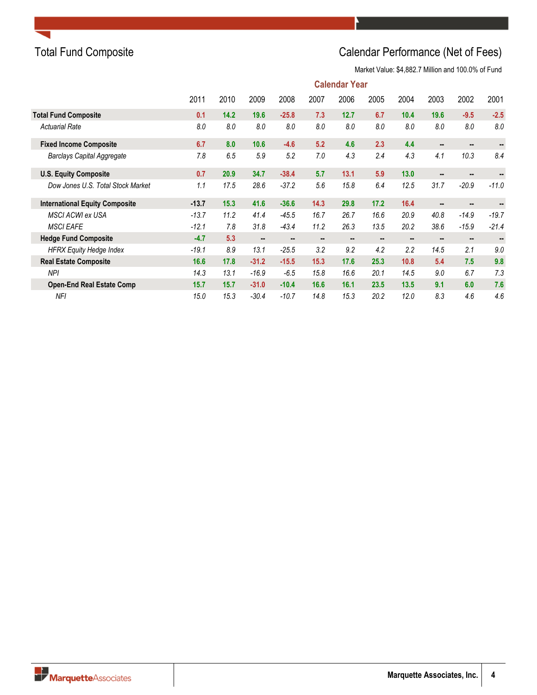# Total Fund Composite **Calendar Performance (Net of Fees)**

|                                       | <b>Calendar Year</b> |      |         |                |      |                |      |      |                |                |         |
|---------------------------------------|----------------------|------|---------|----------------|------|----------------|------|------|----------------|----------------|---------|
|                                       | 2011                 | 2010 | 2009    | 2008           | 2007 | 2006           | 2005 | 2004 | 2003           | 2002           | 2001    |
| <b>Total Fund Composite</b>           | 0.1                  | 14.2 | 19.6    | $-25.8$        | 7.3  | 12.7           | 6.7  | 10.4 | 19.6           | $-9.5$         | $-2.5$  |
| <b>Actuarial Rate</b>                 | 8.0                  | 8.0  | 8.0     | 8.0            | 8.0  | 8.0            | 8.0  | 8.0  | 8.0            | 8.0            | 8.0     |
| <b>Fixed Income Composite</b>         | 6.7                  | 8.0  | 10.6    | $-4.6$         | 5.2  | 4.6            | 2.3  | 4.4  |                |                |         |
| <b>Barclays Capital Aggregate</b>     | 7.8                  | 6.5  | 5.9     | 5.2            | 7.0  | 4.3            | 2.4  | 4.3  | 4.1            | 10.3           | 8.4     |
| <b>U.S. Equity Composite</b>          | 0.7                  | 20.9 | 34.7    | $-38.4$        | 5.7  | 13.1           | 5.9  | 13.0 | $\sim$         | $\sim$         |         |
| Dow Jones U.S. Total Stock Market     | 1.1                  | 17.5 | 28.6    | $-37.2$        | 5.6  | 15.8           | 6.4  | 12.5 | 31.7           | $-20.9$        | $-11.0$ |
| <b>International Equity Composite</b> | $-13.7$              | 15.3 | 41.6    | $-36.6$        | 14.3 | 29.8           | 17.2 | 16.4 |                | $\sim$         |         |
| MSCI ACWI ex USA                      | $-13.7$              | 11.2 | 41.4    | $-45.5$        | 16.7 | 26.7           | 16.6 | 20.9 | 40.8           | $-14.9$        | $-19.7$ |
| <b>MSCI EAFE</b>                      | $-12.1$              | 7.8  | 31.8    | $-43.4$        | 11.2 | 26.3           | 13.5 | 20.2 | 38.6           | $-15.9$        | $-21.4$ |
| <b>Hedge Fund Composite</b>           | $-4.7$               | 5.3  |         | $\blacksquare$ |      | $\blacksquare$ |      | н.   | $\blacksquare$ | $\blacksquare$ |         |
| <b>HFRX Equity Hedge Index</b>        | $-19.1$              | 8.9  | 13.1    | $-25.5$        | 3.2  | 9.2            | 4.2  | 2.2  | 14.5           | 2.1            | 9.0     |
| <b>Real Estate Composite</b>          | 16.6                 | 17.8 | $-31.2$ | $-15.5$        | 15.3 | 17.6           | 25.3 | 10.8 | 5.4            | 7.5            | 9.8     |
| <b>NPI</b>                            | 14.3                 | 13.1 | $-16.9$ | $-6.5$         | 15.8 | 16.6           | 20.1 | 14.5 | 9.0            | 6.7            | 7.3     |
| <b>Open-End Real Estate Comp</b>      | 15.7                 | 15.7 | $-31.0$ | $-10.4$        | 16.6 | 16.1           | 23.5 | 13.5 | 9.1            | 6.0            | 7.6     |
| NFI                                   | 15.0                 | 15.3 | $-30.4$ | $-10.7$        | 14.8 | 15.3           | 20.2 | 12.0 | 8.3            | 4.6            | 4.6     |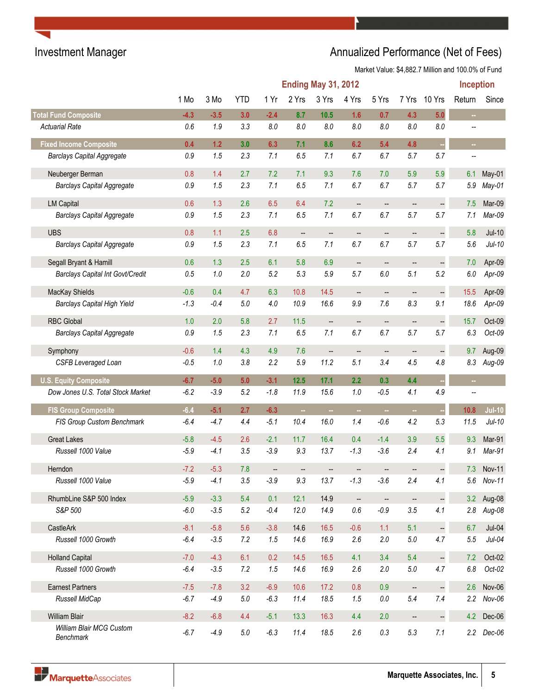# Investment Manager **Annualized Performance (Net of Fees)**

|                                         |         |        |            |        | <b>Ending May 31, 2012</b> |                          |                          |                          |                          |                          | <b>Inception</b>         |            |
|-----------------------------------------|---------|--------|------------|--------|----------------------------|--------------------------|--------------------------|--------------------------|--------------------------|--------------------------|--------------------------|------------|
|                                         | 1 Mo    | 3 Mo   | <b>YTD</b> | 1 Yr   | 2 Yrs                      | 3 Yrs                    | 4 Yrs                    | 5 Yrs                    | 7 Yrs                    | 10 Yrs                   | Return                   | Since      |
| <b>Total Fund Composite</b>             | $-4.3$  | $-3.5$ | 3.0        | $-2.4$ | 8.7                        | 10.5                     | 1.6                      | 0.7                      | 4.3                      | 5.0                      | $\overline{\phantom{a}}$ |            |
| <b>Actuarial Rate</b>                   | 0.6     | 1.9    | 3.3        | 8.0    | 8.0                        | 8.0                      | 8.0                      | 8.0                      | 8.0                      | 8.0                      |                          |            |
| <b>Fixed Income Composite</b>           | 0.4     | 1.2    | 3.0        | 6.3    | 7.1                        | 8.6                      | 6.2                      | 5.4                      | 4.8                      | à,                       | m,                       |            |
| <b>Barclays Capital Aggregate</b>       | 0.9     | 1.5    | 2.3        | 7.1    | 6.5                        | 7.1                      | 6.7                      | 6.7                      | 5.7                      | 5.7                      |                          |            |
| Neuberger Berman                        | 0.8     | 1.4    | 2.7        | 7.2    | 7.1                        | 9.3                      | 7.6                      | 7.0                      | 5.9                      | 5.9                      | 6.1                      | May-01     |
| <b>Barclays Capital Aggregate</b>       | $0.9\,$ | 1.5    | 2.3        | 7.1    | 6.5                        | 7.1                      | 6.7                      | 6.7                      | 5.7                      | 5.7                      | 5.9                      | May-01     |
| <b>LM Capital</b>                       | 0.6     | 1.3    | 2.6        | 6.5    | 6.4                        | 7.2                      | $\overline{\phantom{a}}$ | --                       | --                       | $\Box$                   | 7.5                      | Mar-09     |
| <b>Barclays Capital Aggregate</b>       | $0.9\,$ | 1.5    | 2.3        | 7.1    | 6.5                        | 7.1                      | 6.7                      | 6.7                      | 5.7                      | 5.7                      | 7.1                      | Mar-09     |
| <b>UBS</b>                              | 0.8     | 1.1    | 2.5        | 6.8    | $\qquad \qquad -$          | --                       | --                       | $\qquad \qquad \cdots$   | --                       | $\frac{1}{2}$            | 5.8                      | $Jul-10$   |
| <b>Barclays Capital Aggregate</b>       | 0.9     | 1.5    | 2.3        | 7.1    | 6.5                        | 7.1                      | 6.7                      | 6.7                      | 5.7                      | 5.7                      | 5.6                      | $Jul-10$   |
| Segall Bryant & Hamill                  | 0.6     | 1.3    | 2.5        | 6.1    | 5.8                        | 6.9                      | $\overline{\phantom{a}}$ | $\overline{\phantom{a}}$ | --                       | $\Box$                   | 7.0                      | Apr-09     |
| <b>Barclays Capital Int Govt/Credit</b> | 0.5     | 1.0    | 2.0        | 5.2    | 5.3                        | 5.9                      | 5.7                      | 6.0                      | 5.1                      | 5.2                      | 6.0                      | Apr-09     |
| MacKay Shields                          | $-0.6$  | 0.4    | 4.7        | 6.3    | 10.8                       | 14.5                     | $\overline{\phantom{a}}$ | $\qquad \qquad \cdots$   | $\qquad \qquad \cdots$   | $\overline{\phantom{a}}$ | 15.5                     | Apr-09     |
| <b>Barclays Capital High Yield</b>      | $-1.3$  | $-0.4$ | $5.0\,$    | $4.0$  | 10.9                       | 16.6                     | 9.9                      | 7.6                      | 8.3                      | 9.1                      | 18.6                     | Apr-09     |
| <b>RBC Global</b>                       | 1.0     | 2.0    | 5.8        | 2.7    | $11.5$                     | $\overline{\phantom{a}}$ | --                       | $\overline{\phantom{a}}$ |                          | $\qquad \qquad -$        | 15.7                     | Oct-09     |
| <b>Barclays Capital Aggregate</b>       | $0.9\,$ | 1.5    | 2.3        | 7.1    | 6.5                        | 7.1                      | 6.7                      | 6.7                      | 5.7                      | 5.7                      | 6.3                      | Oct-09     |
| Symphony                                | $-0.6$  | 1.4    | 4.3        | 4.9    | 7.6                        | $\overline{\phantom{a}}$ | $\overline{\phantom{a}}$ | --                       | --                       | $\ddot{\phantom{1}}$     | 9.7                      | Aug-09     |
| <b>CSFB Leveraged Loan</b>              | $-0.5$  | 1.0    | 3.8        | 2.2    | 5.9                        | 11.2                     | 5.1                      | 3.4                      | 4.5                      | 4.8                      | 8.3                      | Aug-09     |
| <b>U.S. Equity Composite</b>            | $-6.7$  | $-5.0$ | 5.0        | $-3.1$ | 12.5                       | 17.1                     | 2.2                      | 0.3                      | 4.4                      |                          | ÷,                       |            |
| Dow Jones U.S. Total Stock Market       | $-6.2$  | $-3.9$ | 5.2        | $-1.8$ | 11.9                       | 15.6                     | 1.0                      | $-0.5$                   | 4.1                      | 4.9                      | --                       |            |
| <b>FIS Group Composite</b>              | $-6.4$  | $-5.1$ | 2.7        | $-6.3$ | $\sim$                     | m,                       | $\sim$                   | ш,                       | $\overline{\phantom{a}}$ | à,                       | 10.8                     | $Jul-10$   |
| FIS Group Custom Benchmark              | $-6.4$  | $-4.7$ | 4.4        | $-5.1$ | 10.4                       | 16.0                     | 1.4                      | $-0.6$                   | 4.2                      | 5.3                      | 11.5                     | $Jul-10$   |
| <b>Great Lakes</b>                      | $-5.8$  | $-4.5$ | 2.6        | $-2.1$ | 11.7                       | 16.4                     | 0.4                      | $-1.4$                   | 3.9                      | 5.5                      | 9.3                      | Mar-91     |
| Russell 1000 Value                      | $-5.9$  | $-4.1$ | 3.5        | $-3.9$ | 9.3                        | 13.7                     | $-1.3$                   | $-3.6$                   | 2.4                      | 4.1                      | 9.1                      | Mar-91     |
| Herndon                                 | $-7.2$  | $-5.3$ | 7.8        | --     |                            |                          |                          |                          |                          |                          | 7.3                      | Nov-11     |
| Russell 1000 Value                      | $-5.9$  | $-4.1$ | 3.5        | $-3.9$ | 9.3                        | 13.7                     | $-1.3$                   | $-3.6$                   | 2.4                      | 4.1                      | $5.6\,$                  | Nov-11     |
| RhumbLine S&P 500 Index                 | $-5.9$  | $-3.3$ | 5.4        | 0.1    | 12.1                       | 14.9                     | $\overline{\phantom{a}}$ | $\overline{\phantom{a}}$ | --                       | $\Box$                   | 3.2                      | Aug-08     |
| S&P 500                                 | $-6.0$  | $-3.5$ | 5.2        | $-0.4$ | 12.0                       | 14.9                     | $0.6\,$                  | $-0.9$                   | 3.5                      | 4.1                      |                          | 2.8 Aug-08 |
| CastleArk                               | $-8.1$  | $-5.8$ | 5.6        | $-3.8$ | 14.6                       | 16.5                     | $-0.6$                   | 1.1                      | 5.1                      | $\Box$                   | 6.7                      | $Jul-04$   |
| Russell 1000 Growth                     | $-6.4$  | $-3.5$ | 7.2        | 1.5    | 14.6                       | 16.9                     | 2.6                      | $2.0\,$                  | $5.0\,$                  | 4.7                      | 5.5                      | $Jul-04$   |
| <b>Holland Capital</b>                  | $-7.0$  | $-4.3$ | 6.1        | 0.2    | 14.5                       | 16.5                     | 4.1                      | 3.4                      | 5.4                      | $\Box$                   | 7.2                      | Oct-02     |
| Russell 1000 Growth                     | $-6.4$  | $-3.5$ | 7.2        | 1.5    | 14.6                       | 16.9                     | 2.6                      | 2.0                      | $5.0\,$                  | 4.7                      | $6.8\,$                  | $Oct-02$   |
| <b>Earnest Partners</b>                 | $-7.5$  | $-7.8$ | 3.2        | $-6.9$ | 10.6                       | 17.2                     | 0.8                      | 0.9                      | $\overline{\phantom{a}}$ | $\Box$                   | 2.6                      | Nov-06     |
| Russell MidCap                          | $-6.7$  | $-4.9$ | $5.0\,$    | $-6.3$ | 11.4                       | 18.5                     | 1.5                      | $0.0\,$                  | 5.4                      | 7.4                      | 2.2                      | $Nov-06$   |
| <b>William Blair</b>                    | $-8.2$  | $-6.8$ | 4.4        | $-5.1$ | 13.3                       | 16.3                     | 4.4                      | 2.0                      | $\qquad \qquad \qquad -$ | $\Box$                   |                          | 4.2 Dec-06 |
| William Blair MCG Custom<br>Benchmark   | $-6.7$  | $-4.9$ | 5.0        | $-6.3$ | 11.4                       | 18.5                     | 2.6                      | 0.3                      | 5.3                      | 7.1                      |                          | 2.2 Dec-06 |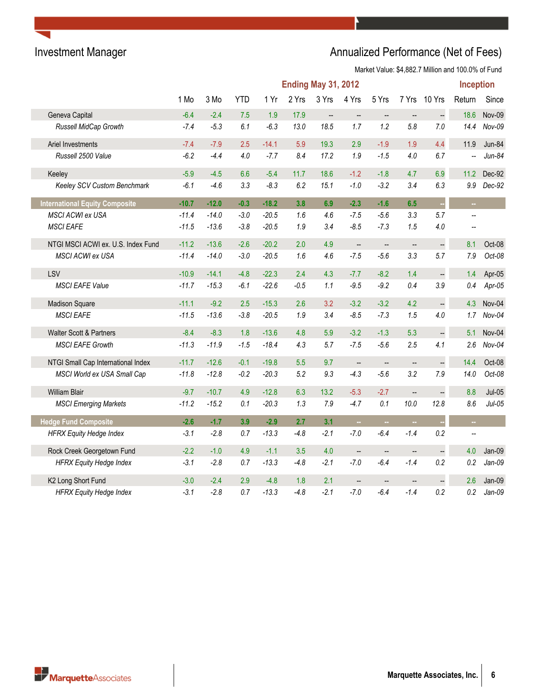# Investment Manager **Annualized Performance (Net of Fees)** Annualized Performance (Net of Fees)

|                                       | <b>Ending May 31, 2012</b> |         |            |         |        |                          |                          |                          |                          | Inception            |                |          |
|---------------------------------------|----------------------------|---------|------------|---------|--------|--------------------------|--------------------------|--------------------------|--------------------------|----------------------|----------------|----------|
|                                       | 1 Mo                       | 3 Mo    | <b>YTD</b> | 1 Yr    | 2 Yrs  | 3 Yrs                    | 4 Yrs                    | 5 Yrs                    | 7 Yrs                    | 10 Yrs               | Return         | Since    |
| Geneva Capital                        | $-6.4$                     | $-2.4$  | 7.5        | 1.9     | 17.9   | $\overline{\phantom{a}}$ | $\overline{\phantom{a}}$ | $\qquad \qquad \cdots$   | $\overline{\phantom{a}}$ | $\overline{a}$       | 18.6           | Nov-09   |
| Russell MidCap Growth                 | $-7.4$                     | $-5.3$  | 6.1        | $-6.3$  | 13.0   | 18.5                     | 1.7                      | 1.2                      | 5.8                      | 7.0                  | 14.4           | Nov-09   |
| Ariel Investments                     | $-7.4$                     | $-7.9$  | 2.5        | $-14.1$ | 5.9    | 19.3                     | 2.9                      | $-1.9$                   | 1.9                      | 4.4                  | 11.9           | Jun-84   |
| Russell 2500 Value                    | $-6.2$                     | $-4.4$  | 4.0        | $-7.7$  | 8.4    | 17.2                     | 1.9                      | $-1.5$                   | 4.0                      | 6.7                  | --             | $Jun-84$ |
| Keeley                                | $-5.9$                     | $-4.5$  | 6.6        | $-5.4$  | 11.7   | 18.6                     | $-1.2$                   | $-1.8$                   | 4.7                      | 6.9                  | 11.2           | Dec-92   |
| Keeley SCV Custom Benchmark           | $-6.1$                     | $-4.6$  | 3.3        | $-8.3$  | 6.2    | 15.1                     | $-1.0$                   | $-3.2$                   | 3.4                      | 6.3                  | 9.9            | Dec-92   |
| <b>International Equity Composite</b> | $-10.7$                    | $-12.0$ | $-0.3$     | $-18.2$ | 3.8    | 6.9                      | $-2.3$                   | $-1.6$                   | 6.5                      | ò,                   | $\sim$         |          |
| MSCI ACWI ex USA                      | $-11.4$                    | $-14.0$ | $-3.0$     | $-20.5$ | 1.6    | 4.6                      | $-7.5$                   | $-5.6$                   | 3.3                      | 5.7                  | $\overline{a}$ |          |
| <b>MSCI EAFE</b>                      | $-11.5$                    | $-13.6$ | $-3.8$     | $-20.5$ | 1.9    | 3.4                      | $-8.5$                   | $-7.3$                   | 1.5                      | 4.0                  |                |          |
| NTGI MSCI ACWI ex. U.S. Index Fund    | $-11.2$                    | $-13.6$ | $-2.6$     | $-20.2$ | 2.0    | 4.9                      | $\overline{\phantom{a}}$ | $\overline{\phantom{a}}$ | $\overline{\phantom{a}}$ | $\overline{a}$       | 8.1            | Oct-08   |
| <b>MSCI ACWI ex USA</b>               | $-11.4$                    | $-14.0$ | $-3.0$     | $-20.5$ | 1.6    | 4.6                      | $-7.5$                   | $-5.6$                   | 3.3                      | 5.7                  | 7.9            | Oct-08   |
| LSV                                   | $-10.9$                    | $-14.1$ | $-4.8$     | $-22.3$ | 2.4    | 4.3                      | $-7.7$                   | $-8.2$                   | 1.4                      | $\ddot{\phantom{0}}$ | 1.4            | Apr-05   |
| <b>MSCI EAFE Value</b>                | $-11.7$                    | $-15.3$ | $-6.1$     | $-22.6$ | $-0.5$ | 1.1                      | $-9.5$                   | $-9.2$                   | 0.4                      | 3.9                  | 0.4            | Apr-05   |
| <b>Madison Square</b>                 | $-11.1$                    | $-9.2$  | 2.5        | $-15.3$ | 2.6    | 3.2                      | $-3.2$                   | $-3.2$                   | 4.2                      | ÷,                   | 4.3            | Nov-04   |
| <b>MSCI EAFE</b>                      | $-11.5$                    | $-13.6$ | $-3.8$     | $-20.5$ | 1.9    | 3.4                      | $-8.5$                   | $-7.3$                   | 1.5                      | 4.0                  | 1.7            | Nov-04   |
| Walter Scott & Partners               | $-8.4$                     | $-8.3$  | 1.8        | $-13.6$ | 4.8    | 5.9                      | $-3.2$                   | $-1.3$                   | 5.3                      |                      | 5.1            | Nov-04   |
| <b>MSCI EAFE Growth</b>               | $-11.3$                    | $-11.9$ | $-1.5$     | $-18.4$ | 4.3    | 5.7                      | $-7.5$                   | $-5.6$                   | 2.5                      | 4.1                  | 2.6            | $Nov-04$ |
| NTGI Small Cap International Index    | $-11.7$                    | $-12.6$ | $-0.1$     | $-19.8$ | 5.5    | 9.7                      | $\overline{\phantom{a}}$ | $\qquad \qquad \cdots$   | --                       |                      | 14.4           | Oct-08   |
| MSCI World ex USA Small Cap           | $-11.8$                    | $-12.8$ | $-0.2$     | $-20.3$ | 5.2    | 9.3                      | $-4.3$                   | $-5.6$                   | 3.2                      | 7.9                  | 14.0           | Oct-08   |
| <b>William Blair</b>                  | $-9.7$                     | $-10.7$ | 4.9        | $-12.8$ | 6.3    | 13.2                     | $-5.3$                   | $-2.7$                   | --                       | $\ddot{\phantom{0}}$ | 8.8            | $Jul-05$ |
| <b>MSCI Emerging Markets</b>          | $-11.2$                    | $-15.2$ | 0.1        | $-20.3$ | 1.3    | $7.9$                    | $-4.7$                   | 0.1                      | 10.0                     | 12.8                 | 8.6            | $Jul-05$ |
| <b>Hedge Fund Composite</b>           | $-2.6$                     | $-1.7$  | 3.9        | $-2.9$  | 2.7    | 3.1                      | ш.                       |                          |                          |                      | ш,             |          |
| <b>HFRX Equity Hedge Index</b>        | $-3.1$                     | $-2.8$  | 0.7        | $-13.3$ | $-4.8$ | $-2.1$                   | $-7.0$                   | $-6.4$                   | $-1.4$                   | 0.2                  | --             |          |
| Rock Creek Georgetown Fund            | $-2.2$                     | $-1.0$  | 4.9        | $-1.1$  | 3.5    | 4.0                      | $\overline{\phantom{a}}$ | $\overline{\phantom{a}}$ | $\qquad \qquad -$        |                      | 4.0            | Jan-09   |
| <b>HFRX Equity Hedge Index</b>        | $-3.1$                     | $-2.8$  | 0.7        | $-13.3$ | $-4.8$ | $-2.1$                   | $-7.0$                   | $-6.4$                   | $-1.4$                   | 0.2                  | 0.2            | $Jan-09$ |
| K2 Long Short Fund                    | $-3.0$                     | $-2.4$  | 2.9        | $-4.8$  | 1.8    | 2.1                      | $\overline{\phantom{a}}$ | $\overline{\phantom{a}}$ |                          |                      | 2.6            | Jan-09   |
| <b>HFRX Equity Hedge Index</b>        | $-3.1$                     | $-2.8$  | 0.7        | $-13.3$ | $-4.8$ | $-2.1$                   | $-7.0$                   | $-6.4$                   | $-1.4$                   | 0.2                  | 0.2            | $Jan-09$ |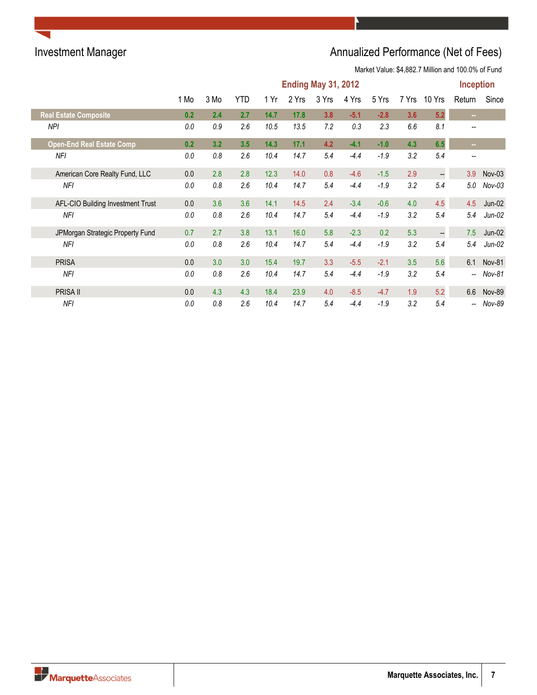# Investment Manager **Annualized Performance (Net of Fees)**

|                                   | <b>Ending May 31, 2012</b> |        |            |      |       |       |        |        |       | <b>Inception</b>         |                          |               |
|-----------------------------------|----------------------------|--------|------------|------|-------|-------|--------|--------|-------|--------------------------|--------------------------|---------------|
|                                   | 1 Mo                       | $3$ Mo | <b>YTD</b> | 1 Yr | 2 Yrs | 3 Yrs | 4 Yrs  | 5 Yrs  | 7 Yrs | 10 Yrs                   | Return                   | Since         |
| <b>Real Estate Composite</b>      | 0.2                        | 2.4    | 2.7        | 14.7 | 17.8  | 3.8   | $-5.1$ | $-2.8$ | 3.6   | 5.2                      | $\sim 10$                |               |
| NPI                               | 0.0                        | 0.9    | 2.6        | 10.5 | 13.5  | 7.2   | 0.3    | 2.3    | 6.6   | 8.1                      |                          |               |
| <b>Open-End Real Estate Comp</b>  | 0.2                        | 3.2    | 3.5        | 14.3 | 17.1  | 4.2   | $-4.1$ | $-1.0$ | 4.3   | 6.5                      | m.                       |               |
| NFI                               | 0.0                        | 0.8    | 2.6        | 10.4 | 14.7  | 5.4   | $-4.4$ | $-1.9$ | 3.2   | 5.4                      | $\overline{\phantom{m}}$ |               |
| American Core Realty Fund, LLC    | 0.0                        | 2.8    | 2.8        | 12.3 | 14.0  | 0.8   | $-4.6$ | $-1.5$ | 2.9   | $\overline{\phantom{a}}$ | 3.9                      | $Nov-03$      |
| NFI                               | 0.0                        | 0.8    | 2.6        | 10.4 | 14.7  | 5.4   | $-4.4$ | $-1.9$ | 3.2   | 5.4                      | 5.0                      | $Nov-03$      |
| AFL-CIO Building Investment Trust | 0.0                        | 3.6    | 3.6        | 14.1 | 14.5  | 2.4   | $-3.4$ | $-0.6$ | 4.0   | 4.5                      | 4.5                      | Jun-02        |
| <b>NFI</b>                        | 0.0                        | 0.8    | 2.6        | 10.4 | 14.7  | 5.4   | $-4.4$ | $-1.9$ | 3.2   | 5.4                      | 5.4                      | $Jun-02$      |
| JPMorgan Strategic Property Fund  | 0.7                        | 2.7    | 3.8        | 13.1 | 16.0  | 5.8   | $-2.3$ | 0.2    | 5.3   | $\qquad \qquad \cdots$   | 7.5                      | $Jun-02$      |
| NFI                               | 0.0                        | 0.8    | 2.6        | 10.4 | 14.7  | 5.4   | $-4.4$ | $-1.9$ | 3.2   | 5.4                      | 5.4                      | $Jun-02$      |
| <b>PRISA</b>                      | 0.0                        | 3.0    | 3.0        | 15.4 | 19.7  | 3.3   | $-5.5$ | $-2.1$ | 3.5   | 5.6                      |                          | 6.1 Nov-81    |
| NFI                               | 0.0                        | 0.8    | 2.6        | 10.4 | 14.7  | 5.4   | $-4.4$ | $-1.9$ | 3.2   | 5.4                      | --                       | Nov-81        |
| <b>PRISA II</b>                   | 0.0                        | 4.3    | 4.3        | 18.4 | 23.9  | 4.0   | $-8.5$ | $-4.7$ | 1.9   | 5.2                      | 6.6                      | <b>Nov-89</b> |
| NFI                               | 0.0                        | 0.8    | 2.6        | 10.4 | 14.7  | 5.4   | -4.4   | $-1.9$ | 3.2   | 5.4                      | $\overline{\phantom{a}}$ | Nov-89        |